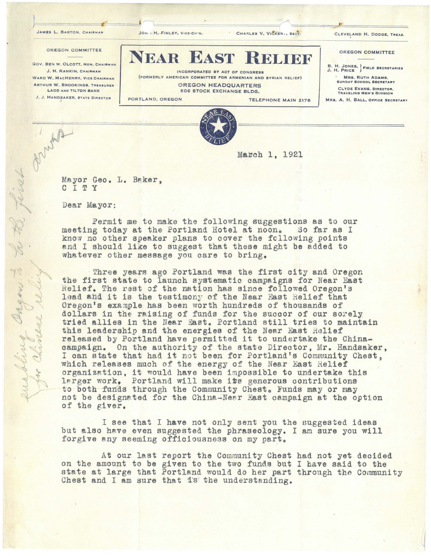JAMES L. BARTON. CHAIRMAN JOH . H. FINLEY, VICE•CH'N. CHARLES V. VICKER 1, SECY. CLEVELAND H. DODGE, TREAS. L. BARTON. CHAIRMAN JON . H. FINLEY, VICE-CH'N. CHARLES V. VICKER ., SECT.

OREGON COMMITTEE

## OREGON COMMITTEE

GOV. BEN W. OLCOTT, HON. CHAIRMAN J. H. RANKIN, CHAIRMAN WARD W. MACHENRY, VICE CHAIRMAN ARTHUR W. BROOKINGS, TREASURER LADO ANO TILTON BANK J. J. HANDSAKER, STATE DIRECTOR

**EAR EAST** 

INCORPORATED BY ACT OF CONGRESS (FORMERLY AMERICAN COMMITTEE FOR ARMENIAN ANO SYRIAN RELIEF)

OREGON HEADQUARTERS 606 STOCK EXCHANGE BLDG,

J

PORTLAND. OREGON TELEPHONE **MAIN** 2178

B. H. JONES, FIELD SECRETARIES · **MRS.** RUTH **ADAMS,**  SUNDAY SCHOOL SECRETARY CLYDE EVANS, DIRECTOR, TRAVELING MEN'S DIVISION EXECUTE POR ARMENIAN AND SYRIAN RELIEF)<br> **ELECTRO ARMENIAN AND SYRIAN RELIEF**<br>
OCK EXCHANGE BLDG.<br>
TELEPHONE MAIN 2178 MRS. A. H. BALL, OFFICE SCARTARY<br>
TRAVELING MEN'S DIVISION<br>
TELEPHONE MAIN 2178 MRS. A. H. BALL, OFFICE

MRS, A. H. BALL, OFFICE SECRETARY



**Mairnh** 1, 1921

Mayor Geo. L. Baker, C I T Y

**Dear** Mayor:

2 first

willing Organ

Permit me to make the following suggestions as to our meeting today at the Portland Hotel at noon. So far as I know no other speaker plans to cover the following points and I should li~e to suggest that these might **be** added to whatever other message you care to bring.

Three years ago Portland was the first city and Oregon the first state to launch systematic campaigns for Near East Relief. The rest of the nation has since followed Oregon's lead and it is the testimony of the Near East Relief that Oregon's example has been worth hundreds of thousands of dollars in the raising of funds for the succor of our sorely tried allies in the Near East. Portland still tries to maintain this leadership and the energies of the Near East Relief released by Portland have permitted it to undertake the Chinacampaign. On the authority of the state Director, Mr. Handsaker, campaign. On the authority of the state Director, Mr. Handsaker.<br>I can state that had it not been for Portland's Community Chest, which releases much of the energy of the Near East Relief organization, it would have been impossible to undertake this larger work. Portland will make its generous contributions to both funds through the Community Chest. Funds may or may not be designated for the China-Near East campaign at the option of the giver.

I see that I **have** not only sent you the suggested ideas but also have even suggested the phraseology. I am sure you will forgive any seeming officiousness on my part.

At our last report the Community Chest had not yet decided on the amount to be given to the two funds but I have said to the state at large that Portland would do her part through the Community Chest and I am sure that is the understanding.